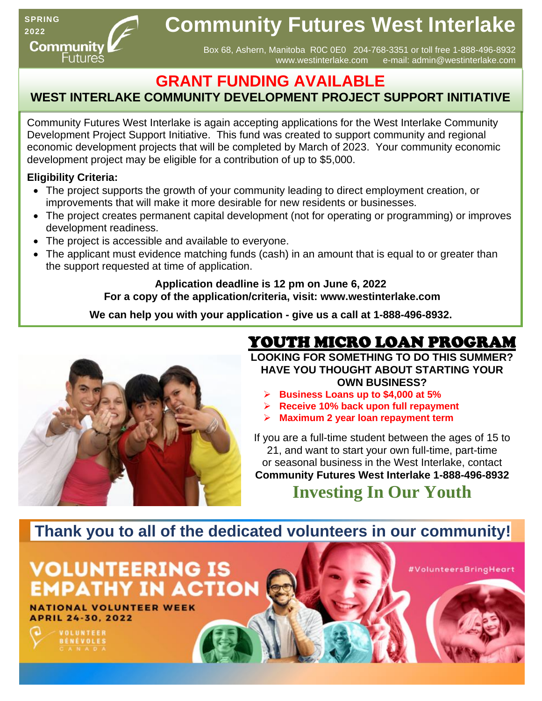**SPRING 2022** Community Futures

# **Community Futures West Interlake**

Box 68, Ashern, Manitoba R0C 0E0 204-768-3351 or toll free 1-888-496-8932 [www.westinterlake.com](http://www.westinterlake.com/) e-mail: admin@westinterlake.com

## **GRANT FUNDING AVAILABLE**

## **WEST INTERLAKE COMMUNITY DEVELOPMENT PROJECT SUPPORT INITIATIVE**

Community Futures West Interlake is again accepting applications for the West Interlake Community Development Project Support Initiative. This fund was created to support community and regional economic development projects that will be completed by March of 2023. Your community economic development project may be eligible for a contribution of up to \$5,000.

### **Eligibility Criteria:**

- The project supports the growth of your community leading to direct employment creation, or improvements that will make it more desirable for new residents or businesses.
- The project creates permanent capital development (not for operating or programming) or improves development readiness.
- The project is accessible and available to everyone.
- The applicant must evidence matching funds (cash) in an amount that is equal to or greater than the support requested at time of application.

### **Application deadline is 12 pm on June 6, 2022 For a copy of the application/criteria, visit: [www.westinterlake.com](http://www.westinterlake.com/)**

**We can help you with your application - give us a call at 1-888-496-8932.**



# YOUTH MICRO LOAN PROGRAM

**LOOKING FOR SOMETHING TO DO THIS SUMMER? HAVE YOU THOUGHT ABOUT STARTING YOUR OWN BUSINESS?**

- ➢ **Business Loans up to \$4,000 at 5%**
- ➢ **Receive 10% back upon full repayment**
- ➢ **Maximum 2 year loan repayment term**

If you are a full-time student between the ages of 15 to 21, and want to start your own full-time, part-time or seasonal business in the West Interlake, contact **Community Futures West Interlake 1-888-496-8932**

**Investing In Our Youth**

#VolunteersBringHeart

## **Thank you to all of the dedicated volunteers in our community!**

# **VOLUNTEERING IS EMPATHY IN ACTIOL**

**NATIONAL VOLUNTEER WEEK APRIL 24-30, 2022** 



**VOLUNTEER BÉNÉVOLES**